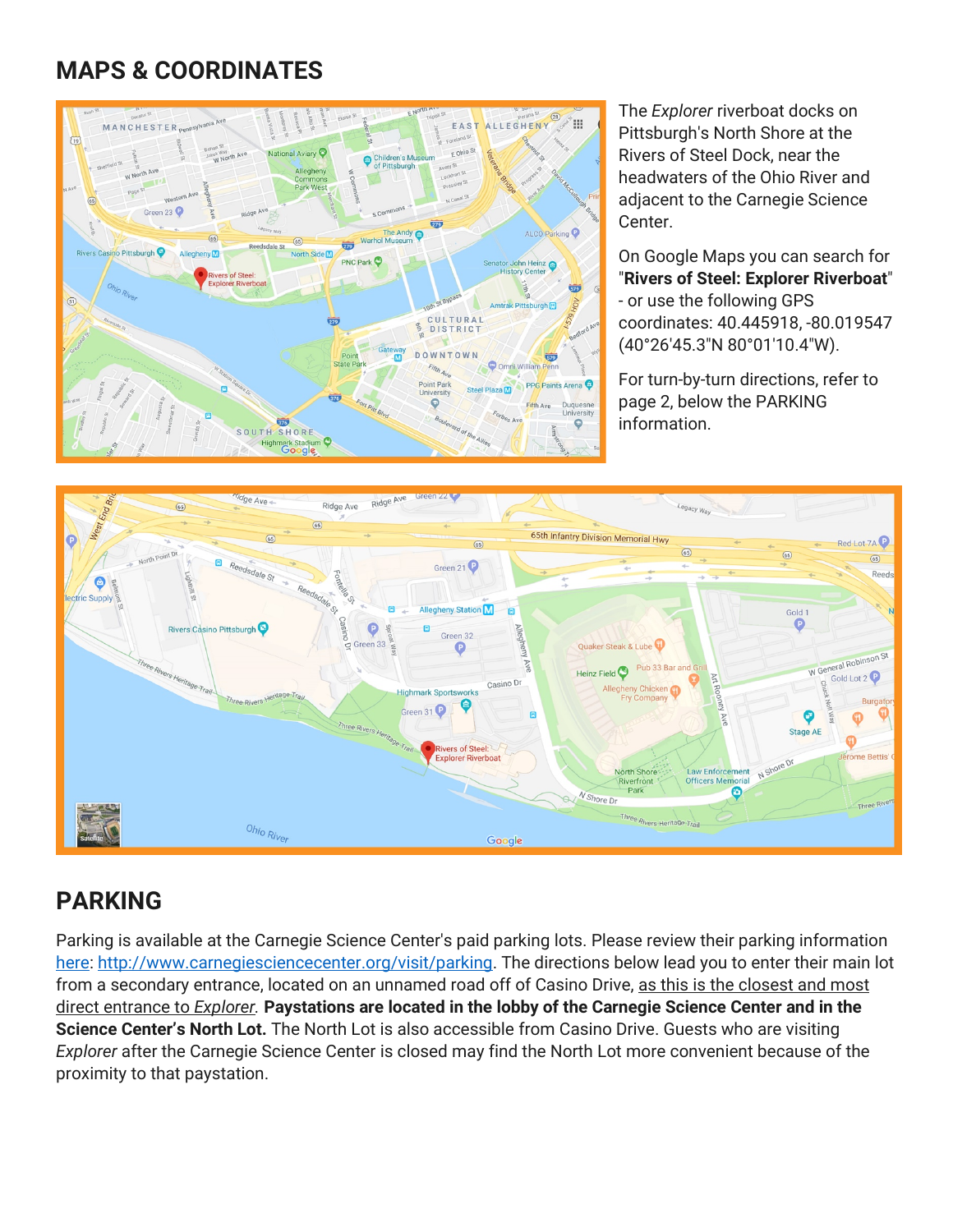# **MAPS & COORDINATES**



The *Explorer* riverboat docks on Pittsburgh's North Shore at the Rivers of Steel Dock, near the headwaters of the Ohio River and adjacent to the Carnegie Science Center.

On Google Maps you can search for "**Rivers of Steel: Explorer Riverboat**" - or use the following GPS coordinates: 40.445918, -80.019547 (40°26'45.3"N 80°01'10.4"W).

For turn-by-turn directions, refer to page 2, below the PARKING information.



## **PARKING**

Parking is available at the Carnegie Science Center's paid parking lots. Please review their parking information [here:](http://www.carnegiesciencecenter.org/visit/parking/) [http://www.carnegiesciencecenter.org/visit/parking.](http://www.carnegiesciencecenter.org/visit/parking) The directions below lead you to enter their main lot from a secondary entrance, located on an unnamed road off of Casino Drive, as this is the closest and most direct entrance to *Explorer.* **Paystations are located in the lobby of the Carnegie Science Center and in the Science Center's North Lot.** The North Lot is also accessible from Casino Drive. Guests who are visiting *Explorer* after the Carnegie Science Center is closed may find the North Lot more convenient because of the proximity to that paystation.